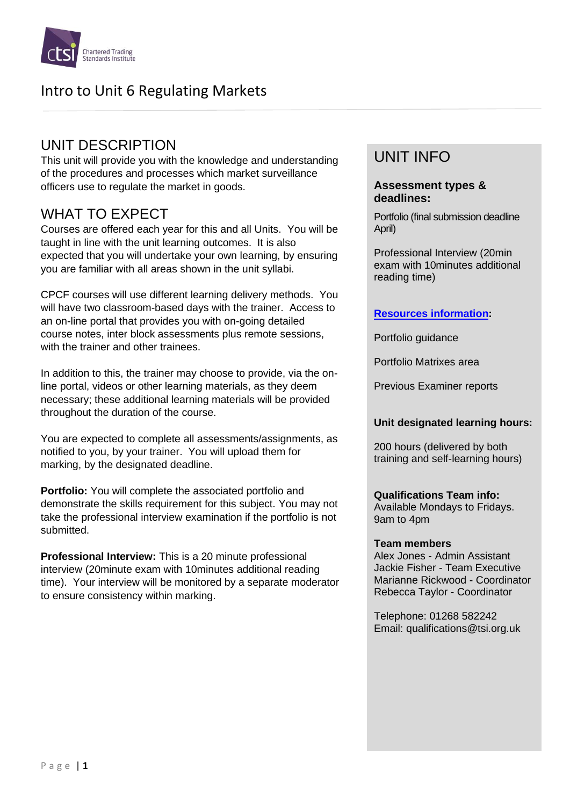

## UNIT DESCRIPTION

This unit will provide you with the knowledge and understanding of the procedures and processes which market surveillance officers use to regulate the market in goods.

## WHAT TO EXPECT

Courses are offered each year for this and all Units. You will be taught in line with the unit learning outcomes. It is also expected that you will undertake your own learning, by ensuring you are familiar with all areas shown in the unit syllabi.

CPCF courses will use different learning delivery methods. You will have two classroom-based days with the trainer. Access to an on-line portal that provides you with on-going detailed course notes, inter block assessments plus remote sessions, with the trainer and other trainees.

In addition to this, the trainer may choose to provide, via the online portal, videos or other learning materials, as they deem necessary; these additional learning materials will be provided throughout the duration of the course.

You are expected to complete all assessments/assignments, as notified to you, by your trainer. You will upload them for marking, by the designated deadline.

**Portfolio:** You will complete the associated portfolio and demonstrate the skills requirement for this subject. You may not take the professional interview examination if the portfolio is not submitted.

**Professional Interview:** This is a 20 minute professional interview (20minute exam with 10minutes additional reading time). Your interview will be monitored by a separate moderator to ensure consistency within marking.

# UNIT INFO

### **Assessment types & deadlines:**

Portfolio (final submission deadline April)

Professional Interview (20min exam with 10minutes additional reading time)

### **[Resources information:](https://www.tradingstandards.uk/practitioners/training-development/qualifications-resources)**

Portfolio guidance

Portfolio Matrixes area

Previous Examiner reports

### **Unit designated learning hours:**

200 hours (delivered by both training and self-learning hours)

### **Qualifications Team info:**

Available Mondays to Fridays. 9am to 4pm

#### **Team members**

Alex Jones - Admin Assistant Jackie Fisher - Team Executive Marianne Rickwood - Coordinator Rebecca Taylor - Coordinator

Telephone: 01268 582242 Email: qualifications@tsi.org.uk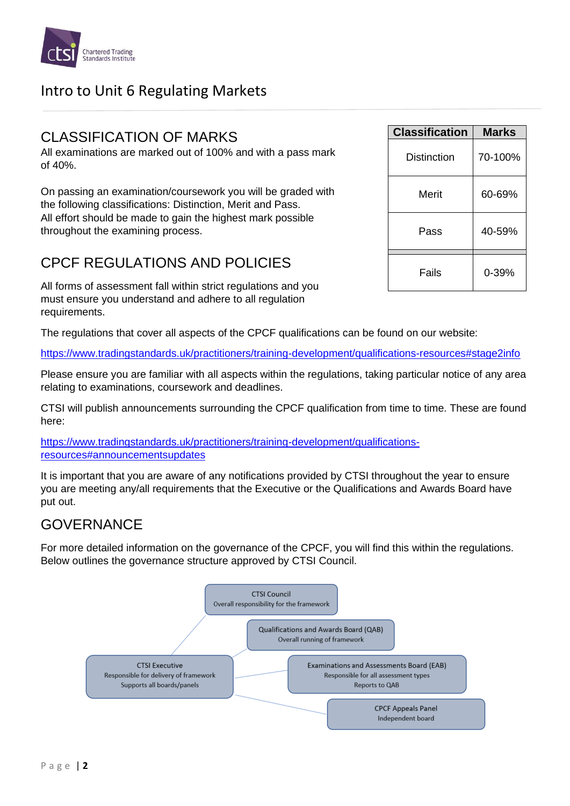

## CLASSIFICATION OF MARKS

All examinations are marked out of 100% and with a pass mark of 40%.

On passing an examination/coursework you will be graded with the following classifications: Distinction, Merit and Pass. All effort should be made to gain the highest mark possible throughout the examining process.

## CPCF REGULATIONS AND POLICIES

All forms of assessment fall within strict regulations and you must ensure you understand and adhere to all regulation requirements.

The regulations that cover all aspects of the CPCF qualifications can be found on our website:

<https://www.tradingstandards.uk/practitioners/training-development/qualifications-resources#stage2info>

Please ensure you are familiar with all aspects within the regulations, taking particular notice of any area relating to examinations, coursework and deadlines.

CTSI will publish announcements surrounding the CPCF qualification from time to time. These are found here:

[https://www.tradingstandards.uk/practitioners/training-development/qualifications](https://www.tradingstandards.uk/practitioners/training-development/qualifications-resources#announcementsupdates)[resources#announcementsupdates](https://www.tradingstandards.uk/practitioners/training-development/qualifications-resources#announcementsupdates)

It is important that you are aware of any notifications provided by CTSI throughout the year to ensure you are meeting any/all requirements that the Executive or the Qualifications and Awards Board have put out.

## **GOVERNANCF**

For more detailed information on the governance of the CPCF, you will find this within the regulations. Below outlines the governance structure approved by CTSI Council.



| <b>Classification</b> | Marks   |
|-----------------------|---------|
| Distinction           | 70-100% |
| Merit                 | 60-69%  |
| Pass                  | 40-59%  |
| Fails                 | 0-39%   |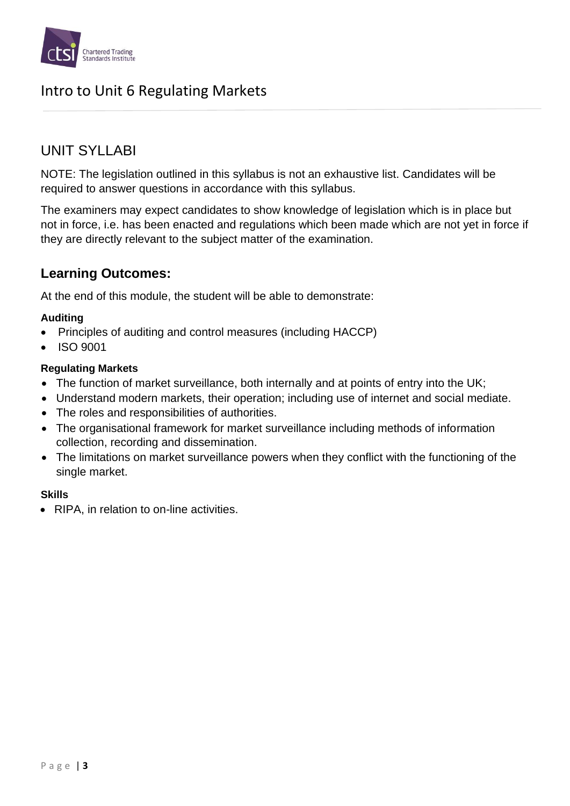

## UNIT SYLLABI

NOTE: The legislation outlined in this syllabus is not an exhaustive list. Candidates will be required to answer questions in accordance with this syllabus.

The examiners may expect candidates to show knowledge of legislation which is in place but not in force, i.e. has been enacted and regulations which been made which are not yet in force if they are directly relevant to the subject matter of the examination.

## **Learning Outcomes:**

At the end of this module, the student will be able to demonstrate:

### **Auditing**

- Principles of auditing and control measures (including HACCP)
- ISO 9001

### **Regulating Markets**

- The function of market surveillance, both internally and at points of entry into the UK;
- Understand modern markets, their operation; including use of internet and social mediate.
- The roles and responsibilities of authorities.
- The organisational framework for market surveillance including methods of information collection, recording and dissemination.
- The limitations on market surveillance powers when they conflict with the functioning of the single market.

### **Skills**

• RIPA, in relation to on-line activities.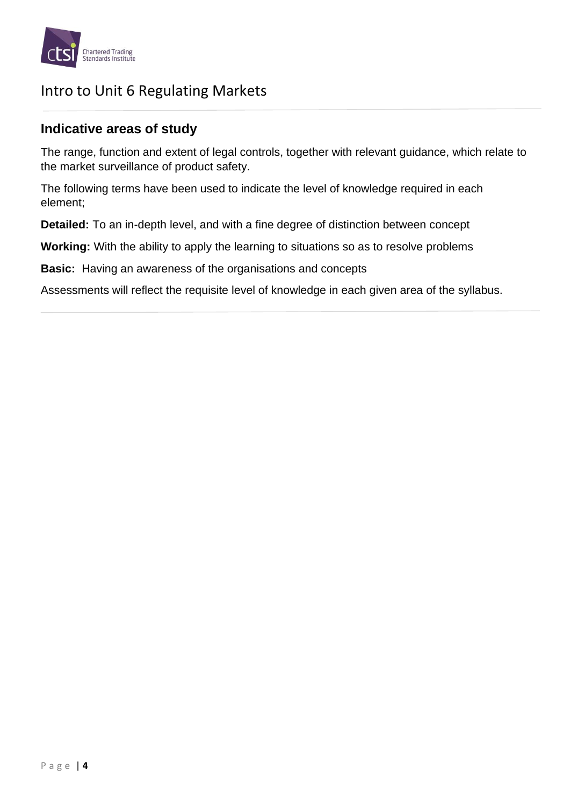

## **Indicative areas of study**

The range, function and extent of legal controls, together with relevant guidance, which relate to the market surveillance of product safety.

The following terms have been used to indicate the level of knowledge required in each element;

**Detailed:** To an in-depth level, and with a fine degree of distinction between concept

**Working:** With the ability to apply the learning to situations so as to resolve problems

**Basic:** Having an awareness of the organisations and concepts

Assessments will reflect the requisite level of knowledge in each given area of the syllabus.